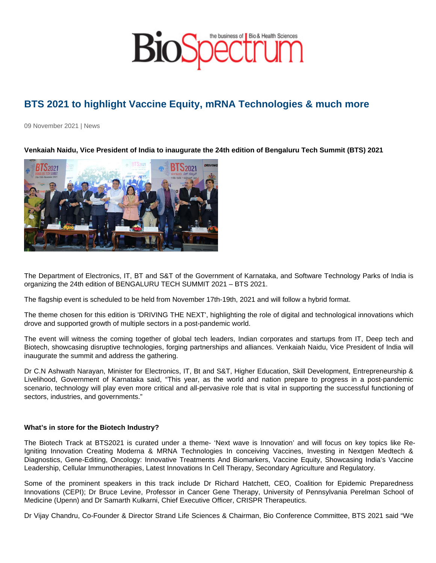## BTS 2021 to highlight Vaccine Equity, mRNA Technologies & much more

09 November 2021 | News

Venkaiah Naidu, Vice President of India to inaugurate the 24th edition of Bengaluru Tech Summit (BTS) 2021

The Department of Electronics, IT, BT and S&T of the Government of Karnataka, and Software Technology Parks of India is organizing the 24th edition of BENGALURU TECH SUMMIT 2021 – BTS 2021.

The flagship event is scheduled to be held from November 17th-19th, 2021 and will follow a hybrid format.

The theme chosen for this edition is 'DRIVING THE NEXT', highlighting the role of digital and technological innovations which drove and supported growth of multiple sectors in a post-pandemic world.

The event will witness the coming together of global tech leaders, Indian corporates and startups from IT, Deep tech and Biotech, showcasing disruptive technologies, forging partnerships and alliances. Venkaiah Naidu, Vice President of India will inaugurate the summit and address the gathering.

Dr C.N Ashwath Narayan, Minister for Electronics, IT, Bt and S&T, Higher Education, Skill Development, Entrepreneurship & Livelihood, Government of Karnataka said, "This year, as the world and nation prepare to progress in a post-pandemic scenario, technology will play even more critical and all-pervasive role that is vital in supporting the successful functioning of sectors, industries, and governments."

What's in store for the Biotech Industry?

The Biotech Track at BTS2021 is curated under a theme- 'Next wave is Innovation' and will focus on key topics like Re-Igniting Innovation Creating Moderna & MRNA Technologies In conceiving Vaccines, Investing in Nextgen Medtech & Diagnostics, Gene-Editing, Oncology: Innovative Treatments And Biomarkers, Vaccine Equity, Showcasing India's Vaccine Leadership, Cellular Immunotherapies, Latest Innovations In Cell Therapy, Secondary Agriculture and Regulatory.

Some of the prominent speakers in this track include Dr Richard Hatchett, CEO, Coalition for Epidemic Preparedness Innovations (CEPI); Dr Bruce Levine, Professor in Cancer Gene Therapy, University of Pennsylvania Perelman School of Medicine (Upenn) and Dr Samarth Kulkarni, Chief Executive Officer, CRISPR Therapeutics.

Dr Vijay Chandru, Co-Founder & Director Strand Life Sciences & Chairman, Bio Conference Committee, BTS 2021 said "We